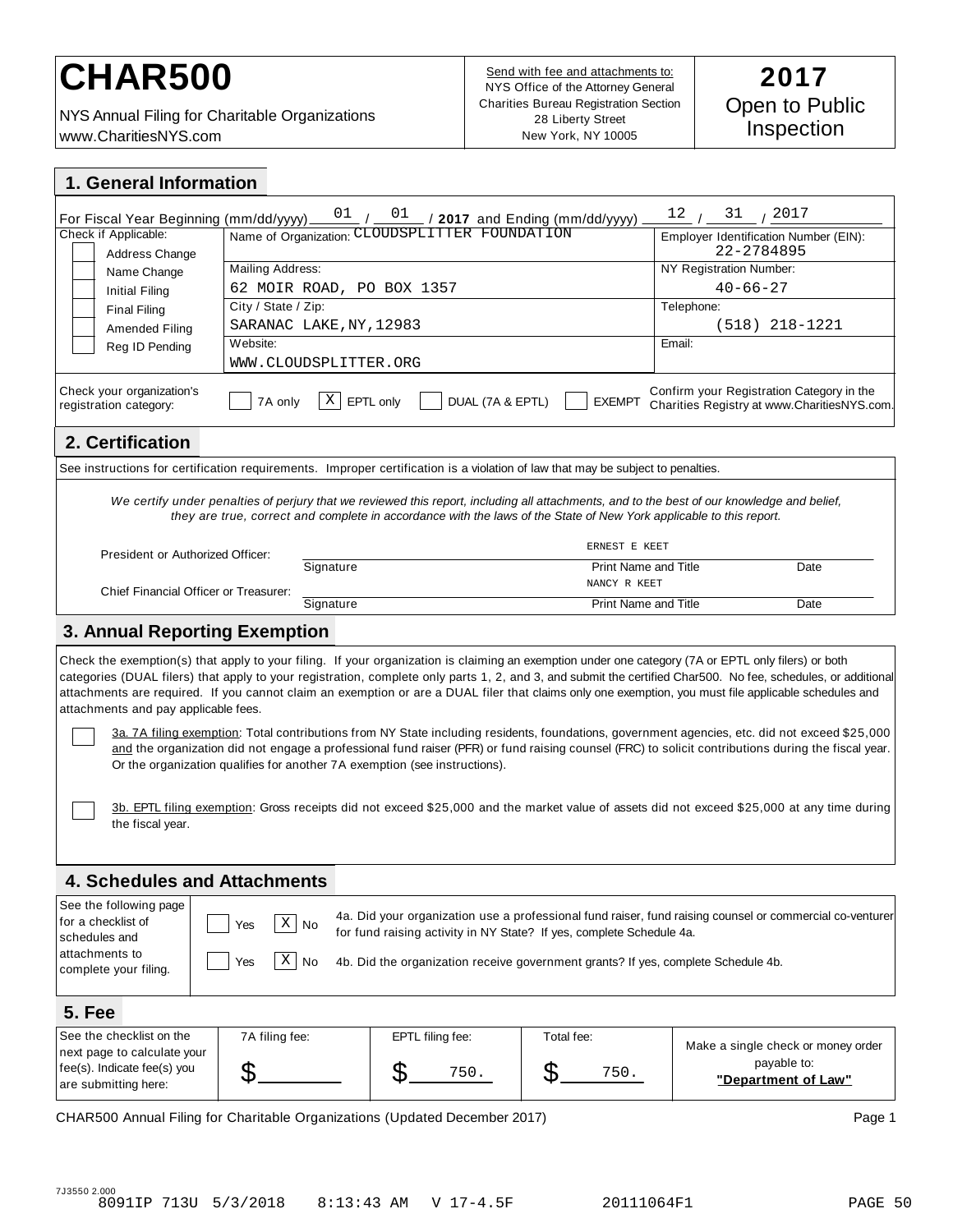# CHAR500<br>**CHAR500 2017**

NYS Annual Filing for Charitable Organizations www.CharitiesNYS.com

Send with fee and attachments to: NYS Office of the Attorney General Charities Bureau Registration Section 28 Liberty Street New York, NY 10005

| 1. General Information                                                                                                                                                                                                                                                                                                                                                                                                                                                                                                                                                                                                                                                                                                                                                                                                                                                                                                                                                                                                                                      |                                                                                                                                      |                                                                        |                             |                                                                                                                                                                                                    |
|-------------------------------------------------------------------------------------------------------------------------------------------------------------------------------------------------------------------------------------------------------------------------------------------------------------------------------------------------------------------------------------------------------------------------------------------------------------------------------------------------------------------------------------------------------------------------------------------------------------------------------------------------------------------------------------------------------------------------------------------------------------------------------------------------------------------------------------------------------------------------------------------------------------------------------------------------------------------------------------------------------------------------------------------------------------|--------------------------------------------------------------------------------------------------------------------------------------|------------------------------------------------------------------------|-----------------------------|----------------------------------------------------------------------------------------------------------------------------------------------------------------------------------------------------|
| For Fiscal Year Beginning (mm/dd/yyyy)_<br>Check if Applicable:<br>Address Change<br>Name Change<br><b>Initial Filing</b><br><b>Final Filing</b><br>Amended Filing<br>Reg ID Pending                                                                                                                                                                                                                                                                                                                                                                                                                                                                                                                                                                                                                                                                                                                                                                                                                                                                        | Mailing Address:<br>62 MOIR ROAD, PO BOX 1357<br>City / State / Zip:<br>SARANAC LAKE, NY, 12983<br>Website:<br>WWW.CLOUDSPLITTER.ORG | $\frac{(mm/dd/yyy)}{Mame of Organization: CLOUDSPLITTER FOUNDATION}$ . |                             | $\frac{12}{1}$ / $\frac{31}{1}$ / $\frac{2017}{1}$<br>Employer Identification Number (EIN):<br>22-2784895<br>NY Registration Number:<br>$40 - 66 - 27$<br>Telephone:<br>$(518)$ 218-1221<br>Email: |
| Check your organization's<br>Confirm your Registration Category in the<br>Χ<br>DUAL (7A & EPTL)<br>7A only<br>EPTL only<br><b>EXEMPT</b><br>Charities Registry at www.CharitiesNYS.com.<br>registration category:                                                                                                                                                                                                                                                                                                                                                                                                                                                                                                                                                                                                                                                                                                                                                                                                                                           |                                                                                                                                      |                                                                        |                             |                                                                                                                                                                                                    |
| 2. Certification                                                                                                                                                                                                                                                                                                                                                                                                                                                                                                                                                                                                                                                                                                                                                                                                                                                                                                                                                                                                                                            |                                                                                                                                      |                                                                        |                             |                                                                                                                                                                                                    |
| See instructions for certification requirements. Improper certification is a violation of law that may be subject to penalties.                                                                                                                                                                                                                                                                                                                                                                                                                                                                                                                                                                                                                                                                                                                                                                                                                                                                                                                             |                                                                                                                                      |                                                                        |                             |                                                                                                                                                                                                    |
| We certify under penalties of perjury that we reviewed this report, including all attachments, and to the best of our knowledge and belief,<br>they are true, correct and complete in accordance with the laws of the State of New York applicable to this report.<br>ERNEST E KEET                                                                                                                                                                                                                                                                                                                                                                                                                                                                                                                                                                                                                                                                                                                                                                         |                                                                                                                                      |                                                                        |                             |                                                                                                                                                                                                    |
| President or Authorized Officer:                                                                                                                                                                                                                                                                                                                                                                                                                                                                                                                                                                                                                                                                                                                                                                                                                                                                                                                                                                                                                            | Signature                                                                                                                            |                                                                        | <b>Print Name and Title</b> | Date                                                                                                                                                                                               |
| Chief Financial Officer or Treasurer:                                                                                                                                                                                                                                                                                                                                                                                                                                                                                                                                                                                                                                                                                                                                                                                                                                                                                                                                                                                                                       |                                                                                                                                      |                                                                        | NANCY R KEET                |                                                                                                                                                                                                    |
|                                                                                                                                                                                                                                                                                                                                                                                                                                                                                                                                                                                                                                                                                                                                                                                                                                                                                                                                                                                                                                                             | Signature                                                                                                                            |                                                                        | <b>Print Name and Title</b> | Date                                                                                                                                                                                               |
| 3. Annual Reporting Exemption                                                                                                                                                                                                                                                                                                                                                                                                                                                                                                                                                                                                                                                                                                                                                                                                                                                                                                                                                                                                                               |                                                                                                                                      |                                                                        |                             |                                                                                                                                                                                                    |
| Check the exemption(s) that apply to your filing. If your organization is claiming an exemption under one category (7A or EPTL only filers) or both<br>categories (DUAL filers) that apply to your registration, complete only parts 1, 2, and 3, and submit the certified Char500. No fee, schedules, or additional<br>attachments are required. If you cannot claim an exemption or are a DUAL filer that claims only one exemption, you must file applicable schedules and<br>attachments and pay applicable fees.<br>3a. 7A filing exemption: Total contributions from NY State including residents, foundations, government agencies, etc. did not exceed \$25,000<br>and the organization did not engage a professional fund raiser (PFR) or fund raising counsel (FRC) to solicit contributions during the fiscal year.<br>Or the organization qualifies for another 7A exemption (see instructions).<br>3b. EPTL filing exemption: Gross receipts did not exceed \$25,000 and the market value of assets did not exceed \$25,000 at any time during |                                                                                                                                      |                                                                        |                             |                                                                                                                                                                                                    |
| the fiscal year.                                                                                                                                                                                                                                                                                                                                                                                                                                                                                                                                                                                                                                                                                                                                                                                                                                                                                                                                                                                                                                            |                                                                                                                                      |                                                                        |                             |                                                                                                                                                                                                    |
| <b>4. Schedules and Attachments</b>                                                                                                                                                                                                                                                                                                                                                                                                                                                                                                                                                                                                                                                                                                                                                                                                                                                                                                                                                                                                                         |                                                                                                                                      |                                                                        |                             |                                                                                                                                                                                                    |
| See the following page<br>4a. Did your organization use a professional fund raiser, fund raising counsel or commercial co-venturer<br>for a checklist of<br>$X \mid N_0$<br>Yes<br>for fund raising activity in NY State? If yes, complete Schedule 4a.<br>schedules and<br>attachments to<br>$X \mid No$<br>Yes<br>4b. Did the organization receive government grants? If yes, complete Schedule 4b.<br>complete your filing.                                                                                                                                                                                                                                                                                                                                                                                                                                                                                                                                                                                                                              |                                                                                                                                      |                                                                        |                             |                                                                                                                                                                                                    |
| <b>5. Fee</b>                                                                                                                                                                                                                                                                                                                                                                                                                                                                                                                                                                                                                                                                                                                                                                                                                                                                                                                                                                                                                                               |                                                                                                                                      |                                                                        |                             |                                                                                                                                                                                                    |
| See the checklist on the<br>next page to calculate your<br>fee(s). Indicate fee(s) you<br>are submitting here:                                                                                                                                                                                                                                                                                                                                                                                                                                                                                                                                                                                                                                                                                                                                                                                                                                                                                                                                              | 7A filing fee:<br>\$                                                                                                                 | EPTL filing fee:<br>S<br>750.                                          | Total fee:<br>S<br>750.     | Make a single check or money order<br>payable to:<br>"Department of Law"                                                                                                                           |

CHAR500 Annual Filing for Charitable Organizations (Updated December 2017) Page 1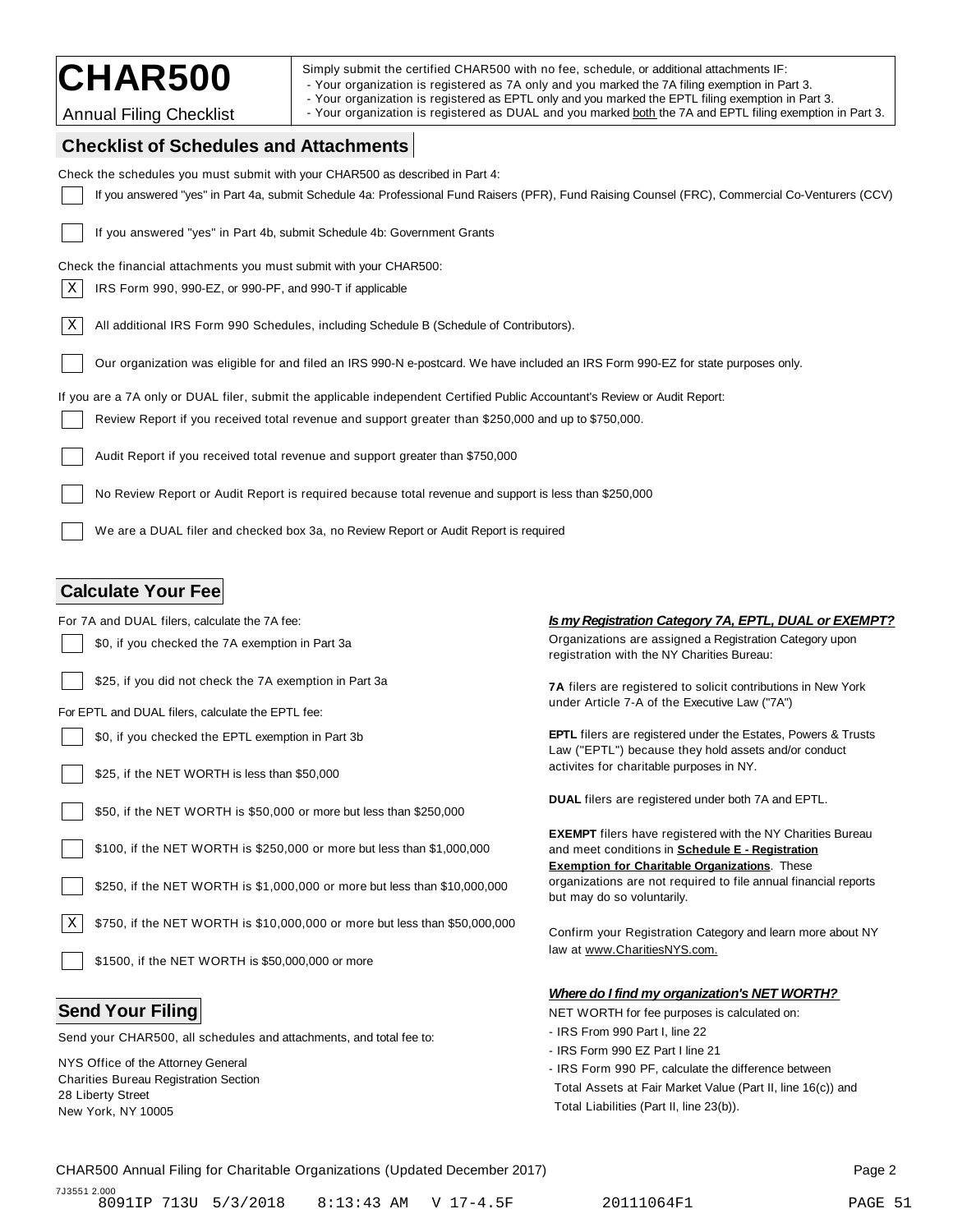CHAR500 Simply submit the certified CHAR500 with no fee, schedule, or additional attachments IF:<br>The Your organization is registered as 7A only and you marked the 7A filing exemption in Part 3.

- Your organization is registered as EPTL only and you marked the EPTL filing exemption in Part 3.

Annual Filing Checklist | - Your organization is registered as DUAL and you marked both the 7A and EPTL filing exemption in Part 3.

### **Checklist of Schedules and Attachments**

| Crieckijst of Scriedules and Attachments                                                                                                         |                                                                                                                                                                               |  |  |  |
|--------------------------------------------------------------------------------------------------------------------------------------------------|-------------------------------------------------------------------------------------------------------------------------------------------------------------------------------|--|--|--|
| Check the schedules you must submit with your CHAR500 as described in Part 4:                                                                    |                                                                                                                                                                               |  |  |  |
| If you answered "yes" in Part 4a, submit Schedule 4a: Professional Fund Raisers (PFR), Fund Raising Counsel (FRC), Commercial Co-Venturers (CCV) |                                                                                                                                                                               |  |  |  |
| If you answered "yes" in Part 4b, submit Schedule 4b: Government Grants                                                                          |                                                                                                                                                                               |  |  |  |
| Check the financial attachments you must submit with your CHAR500:                                                                               |                                                                                                                                                                               |  |  |  |
| Χ<br>IRS Form 990, 990-EZ, or 990-PF, and 990-T if applicable                                                                                    |                                                                                                                                                                               |  |  |  |
| Χ<br>All additional IRS Form 990 Schedules, including Schedule B (Schedule of Contributors).                                                     |                                                                                                                                                                               |  |  |  |
| Our organization was eligible for and filed an IRS 990-N e-postcard. We have included an IRS Form 990-EZ for state purposes only.                |                                                                                                                                                                               |  |  |  |
| If you are a 7A only or DUAL filer, submit the applicable independent Certified Public Accountant's Review or Audit Report:                      |                                                                                                                                                                               |  |  |  |
| Review Report if you received total revenue and support greater than \$250,000 and up to \$750,000.                                              |                                                                                                                                                                               |  |  |  |
| Audit Report if you received total revenue and support greater than \$750,000                                                                    |                                                                                                                                                                               |  |  |  |
| No Review Report or Audit Report is required because total revenue and support is less than \$250,000                                            |                                                                                                                                                                               |  |  |  |
| We are a DUAL filer and checked box 3a, no Review Report or Audit Report is required                                                             |                                                                                                                                                                               |  |  |  |
|                                                                                                                                                  |                                                                                                                                                                               |  |  |  |
| <b>Calculate Your Fee</b>                                                                                                                        |                                                                                                                                                                               |  |  |  |
| For 7A and DUAL filers, calculate the 7A fee:                                                                                                    | Is my Registration Category 7A, EPTL, DUAL or EXEMPT?                                                                                                                         |  |  |  |
| \$0, if you checked the 7A exemption in Part 3a                                                                                                  | Organizations are assigned a Registration Category upon<br>registration with the NY Charities Bureau:                                                                         |  |  |  |
| \$25, if you did not check the 7A exemption in Part 3a                                                                                           | 7A filers are registered to solicit contributions in New York                                                                                                                 |  |  |  |
| For EPTL and DUAL filers, calculate the EPTL fee:                                                                                                | under Article 7-A of the Executive Law ("7A")                                                                                                                                 |  |  |  |
| \$0, if you checked the EPTL exemption in Part 3b                                                                                                | <b>EPTL</b> filers are registered under the Estates, Powers & Trusts<br>Law ("EPTL") because they hold assets and/or conduct                                                  |  |  |  |
| \$25, if the NET WORTH is less than \$50,000                                                                                                     | activites for charitable purposes in NY.                                                                                                                                      |  |  |  |
| \$50, if the NET WORTH is \$50,000 or more but less than \$250,000                                                                               | <b>DUAL</b> filers are registered under both 7A and EPTL.                                                                                                                     |  |  |  |
| \$100, if the NET WORTH is \$250,000 or more but less than \$1,000,000                                                                           | <b>EXEMPT</b> filers have registered with the NY Charities Bureau<br>and meet conditions in Schedule E - Registration<br><b>Exemption for Charitable Organizations.</b> These |  |  |  |
| \$250, if the NET WORTH is \$1,000,000 or more but less than \$10,000,000                                                                        | organizations are not required to file annual financial reports<br>but may do so voluntarily.                                                                                 |  |  |  |
| Χ<br>\$750, if the NET WORTH is \$10,000,000 or more but less than \$50,000,000                                                                  | Confirm your Registration Category and learn more about NY                                                                                                                    |  |  |  |
|                                                                                                                                                  |                                                                                                                                                                               |  |  |  |

Send your CHAR500, all schedules and attachments, and total fee to:

NYS Office of the Attorney General Charities Bureau Registration Section 28 Liberty Street New York, NY 10005

#### *Where do I find my organization's NET WORTH?*

**Send Your Filing**  $\blacksquare$ 

- IRS From 990 Part I, line 22
- IRS Form 990 EZ Part I line 21
- IRS Form 990 PF, calculate the difference between Total Assets at Fair Market Value (Part II, line 16(c)) and Total Liabilities (Part II, line 23(b)).

#### CHAR500 Annual Filing for Charitable Organizations (Updated December 2017) Page 2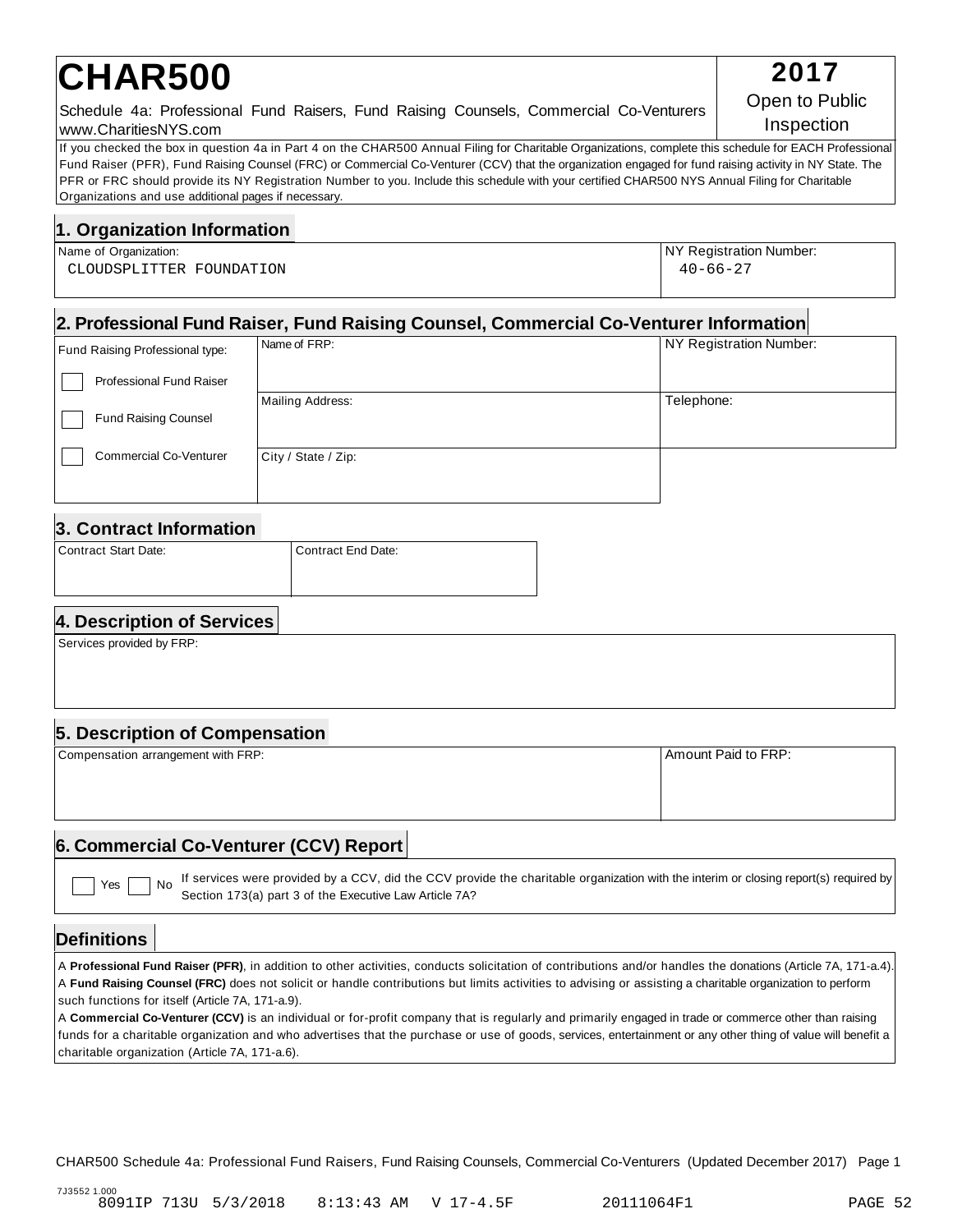# **CHAR500** 2017

#### Schedule 4a: Professional Fund Raisers, Fund Raising Counsels, Commercial Co-Venturers www.CharitiesNYS.com

If you checked the box in question 4a in Part 4 on the CHAR500 Annual Filing for Charitable Organizations, complete this schedule for EACH Professional Fund Raiser (PFR), Fund Raising Counsel (FRC) or Commercial Co-Venturer (CCV) that the organization engaged for fund raising activity in NY State. The PFR or FRC should provide its NY Registration Number to you. Include this schedule with your certified CHAR500 NYS Annual Filing for Charitable Organizations and use additional pages if necessary.

#### **1. Organization Information**

| Name of Organization:    | NY Registration Number: |
|--------------------------|-------------------------|
| CLOUDSPLITTER FOUNDATION | $40 - 66 - 27$          |

#### **2. Professional Fund Raiser, Fund Raising Counsel, Commercial Co-Venturer Information**

| Fund Raising Professional type: | Name of FRP:        | NY Registration Number: |
|---------------------------------|---------------------|-------------------------|
| <b>Professional Fund Raiser</b> |                     |                         |
|                                 | Mailing Address:    | Telephone:              |
| <b>Fund Raising Counsel</b>     |                     |                         |
| <b>Commercial Co-Venturer</b>   | City / State / Zip: |                         |
|                                 |                     |                         |

#### **3. Contract Information**

| Contract Start Date: | l Contract End Date: |
|----------------------|----------------------|
|                      |                      |

### **4. Description of Services**

Services provided by FRP:

### **5. Description of Compensation**

| Compensation arrangement with FRP: | Amount Paid to FRP: |
|------------------------------------|---------------------|
|                                    |                     |
|                                    |                     |
|                                    |                     |
|                                    |                     |

#### **6. Commercial Co-Venturer (CCV) Report**

If services were provided by a CCV, did the CCV provide the charitable organization with the interim or closing report(s) required by Section 173(a) part 3 of the Executive Law Article 7A?  $Yes \mid \text{No}$ 

#### **Definitions**

A **Professional Fund Raiser (PFR)**, in addition to other activities, conducts solicitation of contributions and/or handles the donations (Article 7A, 171-a.4). A **Fund Raising Counsel (FRC)** does not solicit or handle contributions but limits activities to advising or assisting a charitable organization to perform such functions for itself (Article 7A, 171-a.9).

A **Commercial Co-Venturer (CCV)** is an individual or for-profit company that is regularly and primarily engaged in trade or commerce other than raising funds for a charitable organization and who advertises that the purchase or use of goods, services, entertainment or any other thing of value will benefit a charitable organization (Article 7A, 171-a.6).

CHAR500 Schedule 4a: Professional Fund Raisers, Fund Raising Counsels, Commercial Co-Venturers (Updated December 2017) Page 1